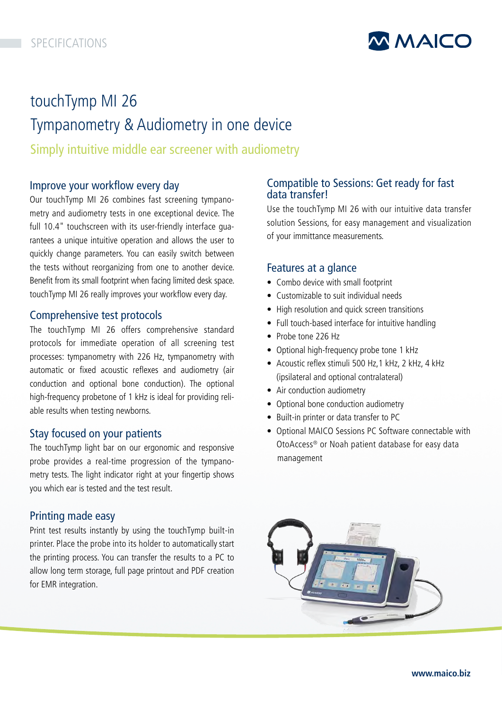

# touchTymp MI 26 Tympanometry & Audiometry in one device Simply intuitive middle ear screener with audiometry

# Improve your workflow every day

Our touchTymp MI 26 combines fast screening tympanometry and audiometry tests in one exceptional device. The full 10.4" touchscreen with its user-friendly interface guarantees a unique intuitive operation and allows the user to quickly change parameters. You can easily switch between the tests without reorganizing from one to another device. Benefit from its small footprint when facing limited desk space. touchTymp MI 26 really improves your workflow every day.

### Comprehensive test protocols

The touchTymp MI 26 offers comprehensive standard protocols for immediate operation of all screening test processes: tympanometry with 226 Hz, tympanometry with automatic or fixed acoustic reflexes and audiometry (air conduction and optional bone conduction). The optional high-frequency probetone of 1 kHz is ideal for providing reliable results when testing newborns.

### Stay focused on your patients

The touchTymp light bar on our ergonomic and responsive probe provides a real-time progression of the tympanometry tests. The light indicator right at your fingertip shows you which ear is tested and the test result.

# Printing made easy

Print test results instantly by using the touchTymp built-in printer. Place the probe into its holder to automatically start the printing process. You can transfer the results to a PC to allow long term storage, full page printout and PDF creation for EMR integration.

## Compatible to Sessions: Get ready for fast data transfer!

Use the touchTymp MI 26 with our intuitive data transfer solution Sessions, for easy management and visualization of your immittance measurements.

## Features at a glance

- Combo device with small footprint
- Customizable to suit individual needs
- High resolution and quick screen transitions
- Full touch-based interface for intuitive handling
- Probe tone 226 Hz
- Optional high-frequency probe tone 1 kHz
- Acoustic reflex stimuli 500 Hz,1 kHz, 2 kHz, 4 kHz (ipsilateral and optional contralateral)
- Air conduction audiometry
- Optional bone conduction audiometry
- Built-in printer or data transfer to PC
- Optional MAICO Sessions PC Software connectable with OtoAccess® or Noah patient database for easy data management